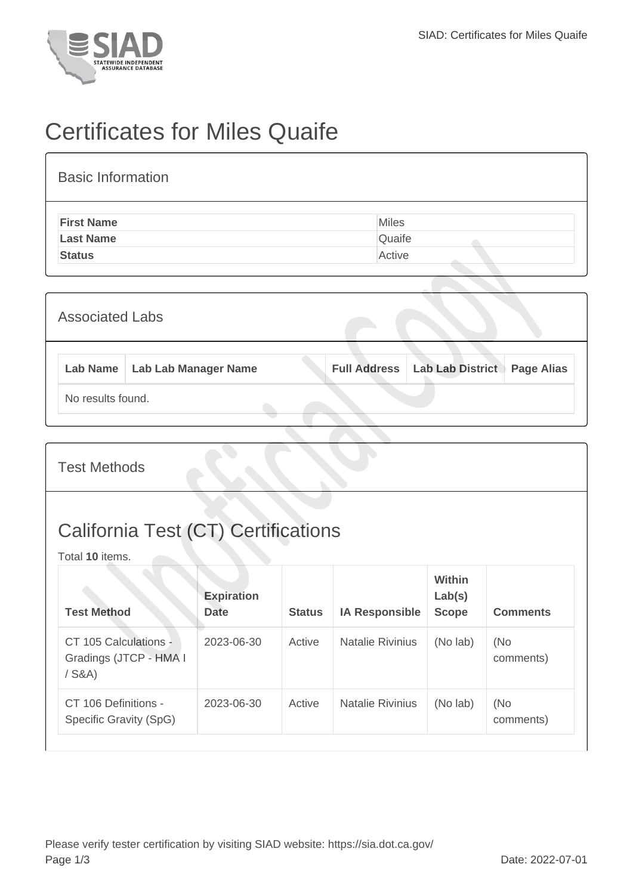

## Certificates for Miles Quaife

| <b>Basic Information</b> |        |
|--------------------------|--------|
| <b>First Name</b>        | Miles  |
| <b>Last Name</b>         | Quaife |
| <b>Status</b>            | Active |
|                          |        |

| <b>Associated Labs</b> |                   |                                 |  |  |                                        |                   |  |
|------------------------|-------------------|---------------------------------|--|--|----------------------------------------|-------------------|--|
|                        |                   | Lab Name   Lab Lab Manager Name |  |  | <b>Full Address   Lab Lab District</b> | <b>Page Alias</b> |  |
|                        | No results found. |                                 |  |  |                                        |                   |  |

Test Methods

## California Test (CT) Certifications

Total **10** items.

| <b>Test Method</b>                                          | <b>Expiration</b><br><b>Date</b> | <b>Status</b> | <b>IA Responsible</b>   | Within<br>Lab(s)<br><b>Scope</b> | <b>Comments</b>  |
|-------------------------------------------------------------|----------------------------------|---------------|-------------------------|----------------------------------|------------------|
| CT 105 Calculations -<br>Gradings (JTCP - HMA I<br>$/$ S&A) | 2023-06-30                       | Active        | <b>Natalie Rivinius</b> | (No lab)                         | (No<br>comments) |
| CT 106 Definitions -<br>Specific Gravity (SpG)              | 2023-06-30                       | Active        | <b>Natalie Rivinius</b> | (No lab)                         | (No<br>comments) |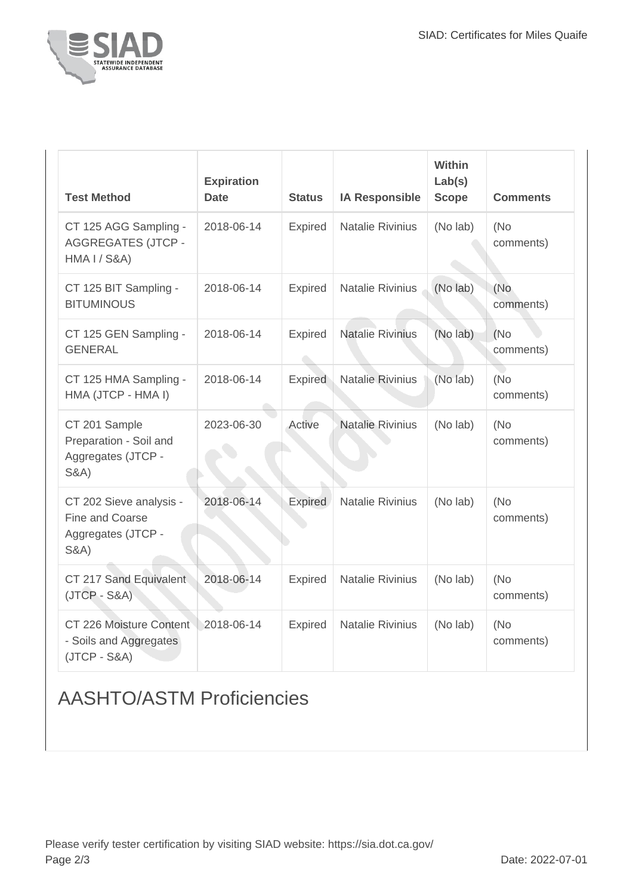

| <b>Test Method</b>                                                               | <b>Expiration</b><br><b>Date</b> | <b>Status</b>  | <b>IA Responsible</b>   | Within<br>Lab(s)<br><b>Scope</b> | <b>Comments</b>   |
|----------------------------------------------------------------------------------|----------------------------------|----------------|-------------------------|----------------------------------|-------------------|
| CT 125 AGG Sampling -<br><b>AGGREGATES (JTCP -</b><br>HMA I / S&A)               | 2018-06-14                       | <b>Expired</b> | <b>Natalie Rivinius</b> | (No lab)                         | (No)<br>comments) |
| CT 125 BIT Sampling -<br><b>BITUMINOUS</b>                                       | 2018-06-14                       | <b>Expired</b> | <b>Natalie Rivinius</b> | (No lab)                         | (No<br>comments)  |
| CT 125 GEN Sampling -<br><b>GENERAL</b>                                          | 2018-06-14                       | <b>Expired</b> | <b>Natalie Rivinius</b> | (No lab)                         | (No)<br>comments) |
| CT 125 HMA Sampling -<br>HMA (JTCP - HMA I)                                      | 2018-06-14                       | <b>Expired</b> | <b>Natalie Rivinius</b> | (No lab)                         | (No<br>comments)  |
| CT 201 Sample<br>Preparation - Soil and<br>Aggregates (JTCP -<br><b>S&amp;A)</b> | 2023-06-30                       | Active         | <b>Natalie Rivinius</b> | (No lab)                         | (No<br>comments)  |
| CT 202 Sieve analysis -<br>Fine and Coarse<br>Aggregates (JTCP -<br>S&A)         | 2018-06-14                       | <b>Expired</b> | <b>Natalie Rivinius</b> | (No lab)                         | (No)<br>comments) |
| CT 217 Sand Equivalent<br>$(JTCP - S&A)$                                         | 2018-06-14                       | <b>Expired</b> | <b>Natalie Rivinius</b> | (No lab)                         | (No<br>comments)  |
| CT 226 Moisture Content<br>- Soils and Aggregates<br>$(JTCP - S&A)$              | 2018-06-14                       | <b>Expired</b> | <b>Natalie Rivinius</b> | (No lab)                         | (No)<br>comments) |

## AASHTO/ASTM Proficiencies